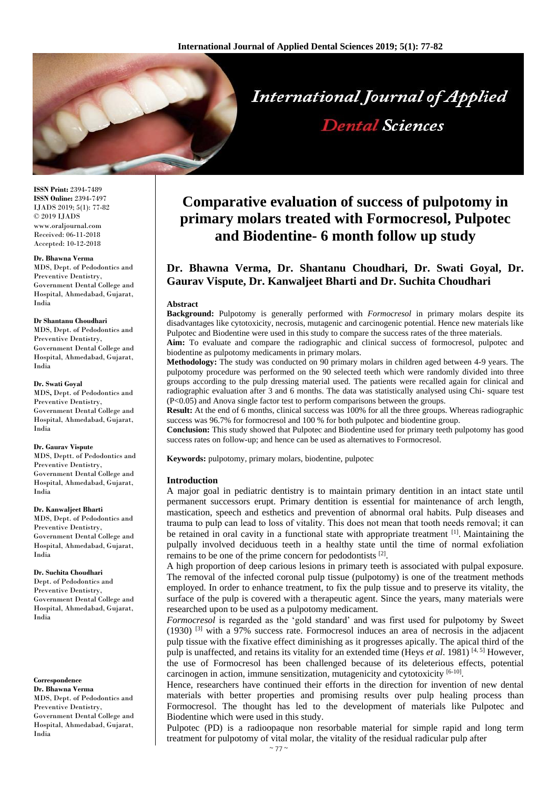

**ISSN Print:** 2394-7489 **ISSN Online:** 2394-7497 IJADS 2019; 5(1): 77-82 © 2019 IJADS www.oraljournal.com Received: 06-11-2018 Accepted: 10-12-2018

#### **Dr. Bhawna Verma**

MDS, Dept. of Pedodontics and Preventive Dentistry, Government Dental College and Hospital, Ahmedabad, Gujarat, India

#### **Dr Shantanu Choudhari**

MDS, Dept. of Pedodontics and Preventive Dentistry, Government Dental College and Hospital, Ahmedabad, Gujarat, India

#### **Dr. Swati Goyal**

MDS**,** Dept. of Pedodontics and Preventive Dentistry, Government Dental College and Hospital, Ahmedabad, Gujarat, India

#### **Dr. Gaurav Vispute**

MDS, Deptt. of Pedodontics and Preventive Dentistry, Government Dental College and Hospital, Ahmedabad, Gujarat, India

#### **Dr. Kanwaljeet Bharti**

MDS, Dept. of Pedodontics and Preventive Dentistry, Government Dental College and Hospital, Ahmedabad, Gujarat, India

#### **Dr. Suchita Choudhari**

Dept. of Pedodontics and Preventive Dentistry, Government Dental College and Hospital, Ahmedabad, Gujarat, India

**Correspondence Dr. Bhawna Verma** MDS, Dept. of Pedodontics and Preventive Dentistry, Government Dental College and Hospital, Ahmedabad, Gujarat, India

# **Comparative evaluation of success of pulpotomy in primary molars treated with Formocresol, Pulpotec and Biodentine- 6 month follow up study**

# **Dr. Bhawna Verma, Dr. Shantanu Choudhari, Dr. Swati Goyal, Dr. Gaurav Vispute, Dr. Kanwaljeet Bharti and Dr. Suchita Choudhari**

#### **Abstract**

**Background:** Pulpotomy is generally performed with *Formocresol* in primary molars despite its disadvantages like cytotoxicity, necrosis, mutagenic and carcinogenic potential. Hence new materials like Pulpotec and Biodentine were used in this study to compare the success rates of the three materials.

**Aim:** To evaluate and compare the radiographic and clinical success of formocresol, pulpotec and biodentine as pulpotomy medicaments in primary molars.

**Methodology:** The study was conducted on 90 primary molars in children aged between 4-9 years. The pulpotomy procedure was performed on the 90 selected teeth which were randomly divided into three groups according to the pulp dressing material used. The patients were recalled again for clinical and radiographic evaluation after 3 and 6 months. The data was statistically analysed using Chi- square test (P<0.05) and Anova single factor test to perform comparisons between the groups.

**Result:** At the end of 6 months, clinical success was 100% for all the three groups. Whereas radiographic success was 96.7% for formocresol and 100 % for both pulpotec and biodentine group.

**Conclusion:** This study showed that Pulpotec and Biodentine used for primary teeth pulpotomy has good success rates on follow-up; and hence can be used as alternatives to Formocresol.

**Keywords:** pulpotomy, primary molars, biodentine, pulpotec

#### **Introduction**

A major goal in pediatric dentistry is to maintain primary dentition in an intact state until permanent successors erupt. Primary dentition is essential for maintenance of arch length, mastication, speech and esthetics and prevention of abnormal oral habits. Pulp diseases and trauma to pulp can lead to loss of vitality. This does not mean that tooth needs removal; it can be retained in oral cavity in a functional state with appropriate treatment  $[1]$ . Maintaining the pulpally involved deciduous teeth in a healthy state until the time of normal exfoliation remains to be one of the prime concern for pedodontists [2].

A high proportion of deep carious lesions in primary teeth is associated with pulpal exposure. The removal of the infected coronal pulp tissue (pulpotomy) is one of the treatment methods employed. In order to enhance treatment, to fix the pulp tissue and to preserve its vitality, the surface of the pulp is covered with a therapeutic agent. Since the years, many materials were researched upon to be used as a pulpotomy medicament.

*Formocresol* is regarded as the 'gold standard' and was first used for pulpotomy by Sweet  $(1930)$   $^{[3]}$  with a 97% success rate. Formocresol induces an area of necrosis in the adjacent pulp tissue with the fixative effect diminishing as it progresses apically. The apical third of the pulp is unaffected, and retains its vitality for an extended time (Heys *et al*. 1981) [4, 5] However, the use of Formocresol has been challenged because of its deleterious effects, potential carcinogen in action, immune sensitization, mutagenicity and cytotoxicity [6-10].

Hence, researchers have continued their efforts in the direction for invention of new dental materials with better properties and promising results over pulp healing process than Formocresol. The thought has led to the development of materials like Pulpotec and Biodentine which were used in this study.

Pulpotec (PD) is a radioopaque non resorbable material for simple rapid and long term treatment for pulpotomy of vital molar, the vitality of the residual radicular pulp after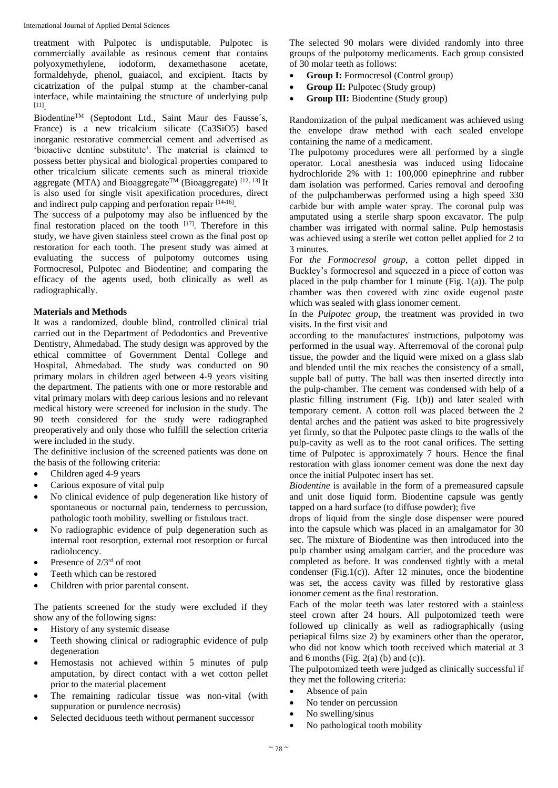treatment with Pulpotec is undisputable. Pulpotec is commercially available as resinous cement that contains polyoxymethylene, iodoform, dexamethasone acetate, formaldehyde, phenol, guaiacol, and excipient. Itacts by cicatrization of the pulpal stump at the chamber-canal interface, while maintaining the structure of underlying pulp [11] .

BiodentineTM (Septodont Ltd., Saint Maur des Fausse´s, France) is a new tricalcium silicate (Ca3SiO5) based inorganic restorative commercial cement and advertised as 'bioactive dentine substitute'. The material is claimed to possess better physical and biological properties compared to other tricalcium silicate cements such as mineral trioxide aggregate (MTA) and Bioaggregate<sup>TM</sup> (Bioaggregate)<sup>[12, 13]</sup> It is also used for single visit apexification procedures, direct and indirect pulp capping and perforation repair [14-16].

The success of a pulpotomy may also be influenced by the final restoration placed on the tooth [17]. Therefore in this study, we have given stainless steel crown as the final post op restoration for each tooth. The present study was aimed at evaluating the success of pulpotomy outcomes using Formocresol, Pulpotec and Biodentine; and comparing the efficacy of the agents used, both clinically as well as radiographically.

## **Materials and Methods**

It was a randomized, double blind, controlled clinical trial carried out in the Department of Pedodontics and Preventive Dentistry, Ahmedabad. The study design was approved by the ethical committee of Government Dental College and Hospital, Ahmedabad. The study was conducted on 90 primary molars in children aged between 4-9 years visiting the department. The patients with one or more restorable and vital primary molars with deep carious lesions and no relevant medical history were screened for inclusion in the study. The 90 teeth considered for the study were radiographed preoperatively and only those who fulfill the selection criteria were included in the study.

The definitive inclusion of the screened patients was done on the basis of the following criteria:

- Children aged 4-9 years
- Carious exposure of vital pulp
- No clinical evidence of pulp degeneration like history of spontaneous or nocturnal pain, tenderness to percussion, pathologic tooth mobility, swelling or fistulous tract.
- No radiographic evidence of pulp degeneration such as internal root resorption, external root resorption or furcal radiolucency.
- Presence of 2/3rd of root
- Teeth which can be restored
- Children with prior parental consent.

The patients screened for the study were excluded if they show any of the following signs:

- History of any systemic disease
- Teeth showing clinical or radiographic evidence of pulp degeneration
- Hemostasis not achieved within 5 minutes of pulp amputation, by direct contact with a wet cotton pellet prior to the material placement
- The remaining radicular tissue was non-vital (with suppuration or purulence necrosis)
- Selected deciduous teeth without permanent successor

The selected 90 molars were divided randomly into three groups of the pulpotomy medicaments. Each group consisted of 30 molar teeth as follows:

- **Group I:** Formocresol (Control group)
- **Group II:** Pulpotec (Study group)
- **Group III:** Biodentine (Study group)

Randomization of the pulpal medicament was achieved using the envelope draw method with each sealed envelope containing the name of a medicament.

The pulpotomy procedures were all performed by a single operator. Local anesthesia was induced using lidocaine hydrochloride 2% with 1: 100,000 epinephrine and rubber dam isolation was performed. Caries removal and deroofing of the pulpchamberwas performed using a high speed 330 carbide bur with ample water spray. The coronal pulp was amputated using a sterile sharp spoon excavator. The pulp chamber was irrigated with normal saline. Pulp hemostasis was achieved using a sterile wet cotton pellet applied for 2 to 3 minutes.

For *the Formocresol group*, a cotton pellet dipped in Buckley's formocresol and squeezed in a piece of cotton was placed in the pulp chamber for 1 minute (Fig. 1(a)). The pulp chamber was then covered with zinc oxide eugenol paste which was sealed with glass ionomer cement.

In the *Pulpotec group*, the treatment was provided in two visits. In the first visit and

according to the manufactures' instructions, pulpotomy was performed in the usual way. Afterremoval of the coronal pulp tissue, the powder and the liquid were mixed on a glass slab and blended until the mix reaches the consistency of a small, supple ball of putty. The ball was then inserted directly into the pulp-chamber. The cement was condensed with help of a plastic filling instrument (Fig. 1(b)) and later sealed with temporary cement. A cotton roll was placed between the 2 dental arches and the patient was asked to bite progressively yet firmly, so that the Pulpotec paste clings to the walls of the pulp-cavity as well as to the root canal orifices. The setting time of Pulpotec is approximately 7 hours. Hence the final restoration with glass ionomer cement was done the next day once the initial Pulpotec insert has set.

*Biodentine* is available in the form of a premeasured capsule and unit dose liquid form. Biodentine capsule was gently tapped on a hard surface (to diffuse powder); five

drops of liquid from the single dose dispenser were poured into the capsule which was placed in an amalgamator for 30 sec. The mixture of Biodentine was then introduced into the pulp chamber using amalgam carrier, and the procedure was completed as before. It was condensed tightly with a metal condenser (Fig.1(c)). After 12 minutes, once the biodentine was set, the access cavity was filled by restorative glass ionomer cement as the final restoration.

Each of the molar teeth was later restored with a stainless steel crown after 24 hours. All pulpotomized teeth were followed up clinically as well as radiographically (using periapical films size 2) by examiners other than the operator, who did not know which tooth received which material at 3 and 6 months (Fig.  $2(a)$  (b) and (c)).

The pulpotomized teeth were judged as clinically successful if they met the following criteria:

- Absence of pain
- No tender on percussion
- No swelling/sinus
- No pathological tooth mobility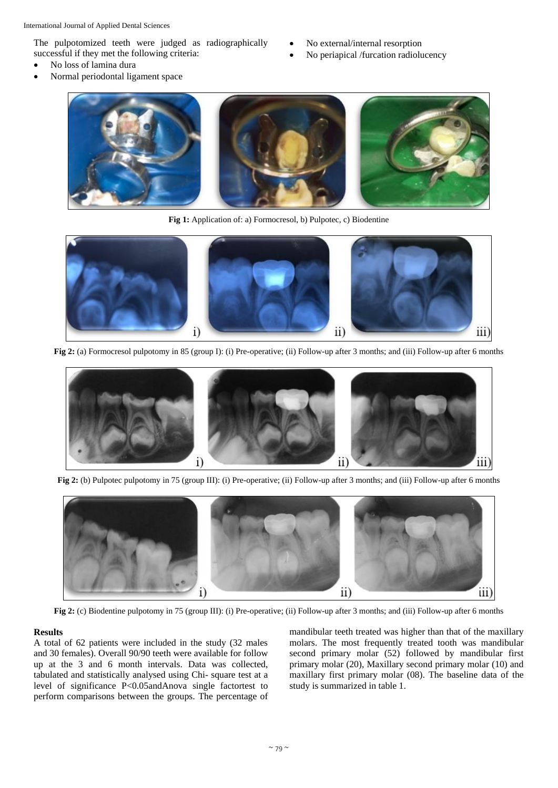The pulpotomized teeth were judged as radiographically successful if they met the following criteria:

- No loss of lamina dura
- Normal periodontal ligament space
- No external/internal resorption
- No periapical /furcation radiolucency



**Fig 1:** Application of: a) Formocresol, b) Pulpotec, c) Biodentine



**Fig 2:** (a) Formocresol pulpotomy in 85 (group I): (i) Pre-operative; (ii) Follow-up after 3 months; and (iii) Follow-up after 6 months



**Fig 2:** (b) Pulpotec pulpotomy in 75 (group III): (i) Pre-operative; (ii) Follow-up after 3 months; and (iii) Follow-up after 6 months



**Fig 2:** (c) Biodentine pulpotomy in 75 (group III): (i) Pre-operative; (ii) Follow-up after 3 months; and (iii) Follow-up after 6 months

### **Results**

A total of 62 patients were included in the study (32 males and 30 females). Overall 90/90 teeth were available for follow up at the 3 and 6 month intervals. Data was collected, tabulated and statistically analysed using Chi- square test at a level of significance P<0.05andAnova single factortest to perform comparisons between the groups. The percentage of mandibular teeth treated was higher than that of the maxillary molars. The most frequently treated tooth was mandibular second primary molar (52) followed by mandibular first primary molar (20), Maxillary second primary molar (10) and maxillary first primary molar (08). The baseline data of the study is summarized in table 1.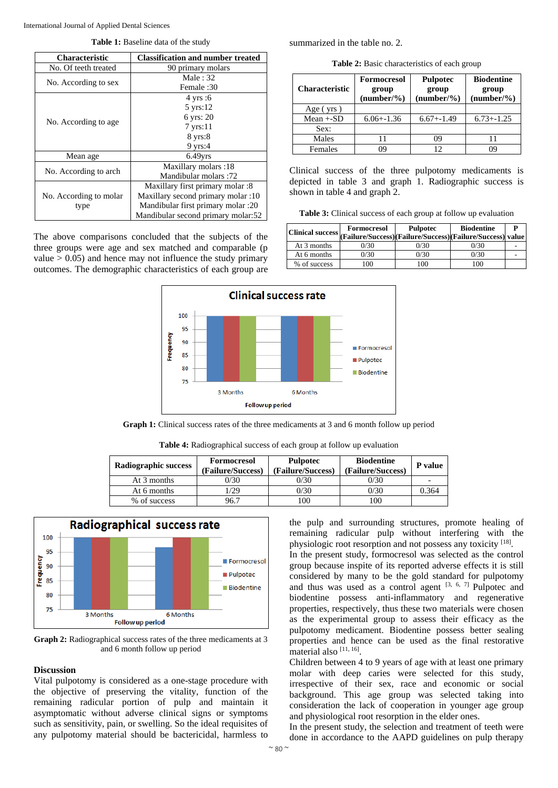**Table 1:** Baseline data of the study

| <b>Characteristic</b>  | <b>Classification and number treated</b> |  |  |
|------------------------|------------------------------------------|--|--|
| No. Of teeth treated   | 90 primary molars                        |  |  |
|                        | Male: $32$                               |  |  |
| No. According to sex   | Female :30                               |  |  |
|                        | $4 \text{ yrs}:6$                        |  |  |
| No. According to age   | $5 \text{ yrs}:12$                       |  |  |
|                        | 6 yrs: 20                                |  |  |
|                        | $7$ yrs:11                               |  |  |
|                        | $8$ yrs: $8$                             |  |  |
|                        | $9$ yrs: $4$                             |  |  |
| Mean age               | $6.49$ vrs                               |  |  |
|                        | Maxillary molars: 18                     |  |  |
| No. According to arch  | Mandibular molars: 72                    |  |  |
|                        | Maxillary first primary molar :8         |  |  |
| No. According to molar | Maxillary second primary molar :10       |  |  |
| type                   | Mandibular first primary molar :20       |  |  |
|                        | Mandibular second primary molar:52       |  |  |

The above comparisons concluded that the subjects of the three groups were age and sex matched and comparable (p value  $> 0.05$ ) and hence may not influence the study primary outcomes. The demographic characteristics of each group are summarized in the table no. 2.

**Table 2:** Basic characteristics of each group

| <b>Characteristic</b> | Formocresol<br>group<br>$(number/\%)$ | <b>Pulpotec</b><br>group<br>$(number/\%)$ | <b>Biodentine</b><br>group<br>$(number/\%)$ |  |
|-----------------------|---------------------------------------|-------------------------------------------|---------------------------------------------|--|
| Age $(yrs)$           |                                       |                                           |                                             |  |
| $Mean + SD$           | $6.06 + -1.36$                        | $6.67 + -1.49$                            | $6.73 + -1.25$                              |  |
| Sex:                  |                                       |                                           |                                             |  |
| Males                 |                                       | 09                                        |                                             |  |
| Females               | ገባ                                    | 12                                        |                                             |  |

Clinical success of the three pulpotomy medicaments is depicted in table 3 and graph 1. Radiographic success is shown in table 4 and graph 2.

**Table 3:** Clinical success of each group at follow up evaluation

|              | Formocresol<br>Clinical success (Failure/Success)(Failure/Success)(Failure/Success) value | <b>Pulpotec</b> | <b>Biodentine</b> | D |
|--------------|-------------------------------------------------------------------------------------------|-----------------|-------------------|---|
| At 3 months  | 0/30                                                                                      | 0/30            | 0/30              |   |
| At 6 months  | $\frac{0}{30}$                                                                            | 0/30            | 0/30              |   |
| % of success | 00                                                                                        | 0 <sup>0</sup>  | '00               |   |



**Graph 1:** Clinical success rates of the three medicaments at 3 and 6 month follow up period

**Table 4:** Radiographical success of each group at follow up evaluation

| Radiographic success | <b>Formocresol</b><br>(Failure/Success) | <b>Pulpotec</b><br>(Failure/Success) | <b>Biodentine</b><br>(Failure/Success) | <b>P</b> value |
|----------------------|-----------------------------------------|--------------------------------------|----------------------------------------|----------------|
| At 3 months          | 0/30                                    | 0/30                                 | 0/30                                   | -              |
| At 6 months          | /29                                     | 0/30                                 | 0/30                                   | 0.364          |
| % of success         | 96.7                                    | 100                                  | 100                                    |                |



**Graph 2:** Radiographical success rates of the three medicaments at 3 and 6 month follow up period

### **Discussion**

Vital pulpotomy is considered as a one-stage procedure with the objective of preserving the vitality, function of the remaining radicular portion of pulp and maintain it asymptomatic without adverse clinical signs or symptoms such as sensitivity, pain, or swelling. So the ideal requisites of any pulpotomy material should be bactericidal, harmless to

the pulp and surrounding structures, promote healing of remaining radicular pulp without interfering with the physiologic root resorption and not possess any toxicity [18].

In the present study, formocresol was selected as the control group because inspite of its reported adverse effects it is still considered by many to be the gold standard for pulpotomy and thus was used as a control agent  $[3, 6, 7]$  Pulpotec and biodentine possess anti-inflammatory and regenerative properties, respectively, thus these two materials were chosen as the experimental group to assess their efficacy as the pulpotomy medicament. Biodentine possess better sealing properties and hence can be used as the final restorative material also [11, 16].

Children between 4 to 9 years of age with at least one primary molar with deep caries were selected for this study, irrespective of their sex, race and economic or social background. This age group was selected taking into consideration the lack of cooperation in younger age group and physiological root resorption in the elder ones.

In the present study, the selection and treatment of teeth were done in accordance to the AAPD guidelines on pulp therapy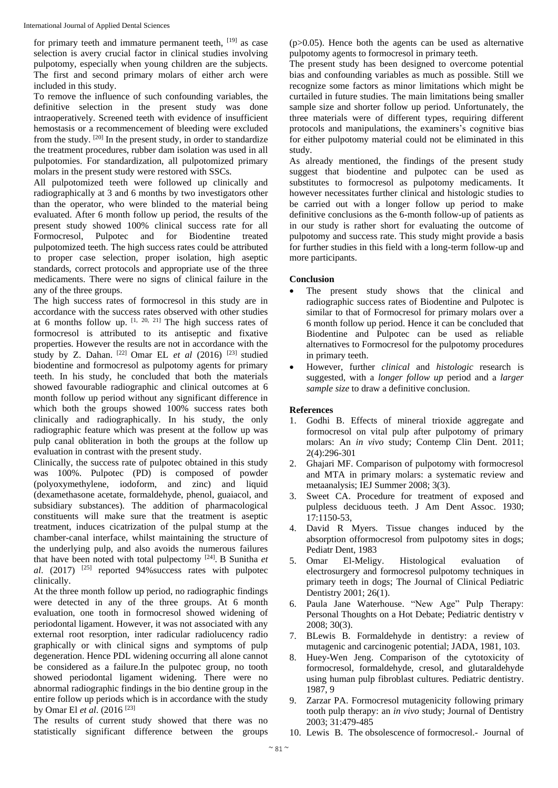International Journal of Applied Dental Sciences

for primary teeth and immature permanent teeth, [19] as case selection is avery crucial factor in clinical studies involving pulpotomy, especially when young children are the subjects. The first and second primary molars of either arch were included in this study.

To remove the influence of such confounding variables, the definitive selection in the present study was done intraoperatively. Screened teeth with evidence of insufficient hemostasis or a recommencement of bleeding were excluded from the study. <sup>[20]</sup> In the present study, in order to standardize the treatment procedures, rubber dam isolation was used in all pulpotomies. For standardization, all pulpotomized primary molars in the present study were restored with SSCs.

All pulpotomized teeth were followed up clinically and radiographically at 3 and 6 months by two investigators other than the operator, who were blinded to the material being evaluated. After 6 month follow up period, the results of the present study showed 100% clinical success rate for all Formocresol, Pulpotec and for Biodentine treated pulpotomized teeth. The high success rates could be attributed to proper case selection, proper isolation, high aseptic standards, correct protocols and appropriate use of the three medicaments. There were no signs of clinical failure in the any of the three groups.

The high success rates of formocresol in this study are in accordance with the success rates observed with other studies at 6 months follow up.  $[1, 20, 21]$  The high success rates of formocresol is attributed to its antiseptic and fixative properties. However the results are not in accordance with the study by Z. Dahan.  $[22]$  Omar EL *et al* (2016)  $[23]$  studied biodentine and formocresol as pulpotomy agents for primary teeth. In his study, he concluded that both the materials showed favourable radiographic and clinical outcomes at 6 month follow up period without any significant difference in which both the groups showed 100% success rates both clinically and radiographically. In his study, the only radiographic feature which was present at the follow up was pulp canal obliteration in both the groups at the follow up evaluation in contrast with the present study.

Clinically, the success rate of pulpotec obtained in this study was 100%. Pulpotec (PD) is composed of powder (polyoxymethylene, iodoform, and zinc) and liquid (dexamethasone acetate, formaldehyde, phenol, guaiacol, and subsidiary substances). The addition of pharmacological constituents will make sure that the treatment is aseptic treatment, induces cicatrization of the pulpal stump at the chamber-canal interface, whilst maintaining the structure of the underlying pulp, and also avoids the numerous failures that have been noted with total pulpectomy [24] . B Sunitha *et al*. (2017) [25] reported 94%success rates with pulpotec clinically.

At the three month follow up period, no radiographic findings were detected in any of the three groups. At 6 month evaluation, one tooth in formocresol showed widening of periodontal ligament. However, it was not associated with any external root resorption, inter radicular radiolucency radio graphically or with clinical signs and symptoms of pulp degeneration. Hence PDL widening occurring all alone cannot be considered as a failure.In the pulpotec group, no tooth showed periodontal ligament widening. There were no abnormal radiographic findings in the bio dentine group in the entire follow up periods which is in accordance with the study by Omar El *et al*. (2016 [23]

The results of current study showed that there was no statistically significant difference between the groups

 $(p>0.05)$ . Hence both the agents can be used as alternative pulpotomy agents to formocresol in primary teeth.

The present study has been designed to overcome potential bias and confounding variables as much as possible. Still we recognize some factors as minor limitations which might be curtailed in future studies. The main limitations being smaller sample size and shorter follow up period. Unfortunately, the three materials were of different types, requiring different protocols and manipulations, the examiners's cognitive bias for either pulpotomy material could not be eliminated in this study.

As already mentioned, the findings of the present study suggest that biodentine and pulpotec can be used as substitutes to formocresol as pulpotomy medicaments. It however necessitates further clinical and histologic studies to be carried out with a longer follow up period to make definitive conclusions as the 6-month follow-up of patients as in our study is rather short for evaluating the outcome of pulpotomy and success rate. This study might provide a basis for further studies in this field with a long-term follow-up and more participants.

# **Conclusion**

- The present study shows that the clinical and radiographic success rates of Biodentine and Pulpotec is similar to that of Formocresol for primary molars over a 6 month follow up period. Hence it can be concluded that Biodentine and Pulpotec can be used as reliable alternatives to Formocresol for the pulpotomy procedures in primary teeth.
- However, further *clinical* and *histologic* research is suggested, with a *longer follow up* period and a *larger sample size* to draw a definitive conclusion.

# **References**

- 1. Godhi B. Effects of mineral trioxide aggregate and formocresol on vital pulp after pulpotomy of primary molars: An *in vivo* study; Contemp Clin Dent. 2011; 2(4):296-301
- 2. Ghajari MF. Comparison of pulpotomy with formocresol and MTA in primary molars: a systematic review and metaanalysis; IEJ Summer 2008; 3(3).
- 3. Sweet CA. Procedure for treatment of exposed and pulpless deciduous teeth. J Am Dent Assoc. 1930; 17:1150-53,
- 4. David R Myers. Tissue changes induced by the absorption offormocresol from pulpotomy sites in dogs; Pediatr Dent, 1983
- 5. Omar El-Meligy. Histological evaluation of electrosurgery and formocresol pulpotomy techniques in primary teeth in dogs; The Journal of Clinical Pediatric Dentistry 2001; 26(1).
- 6. Paula Jane Waterhouse. "New Age" Pulp Therapy: Personal Thoughts on a Hot Debate; Pediatric dentistry v 2008; 30(3).
- 7. BLewis B. Formaldehyde in dentistry: a review of mutagenic and carcinogenic potential; JADA, 1981, 103.
- 8. Huey-Wen Jeng. Comparison of the cytotoxicity of formocresol, formaldehyde, cresol, and glutaraldehyde using human pulp fibroblast cultures. Pediatric dentistry. 1987, 9
- 9. Zarzar PA. Formocresol mutagenicity following primary tooth pulp therapy: an *in vivo* study; Journal of Dentistry 2003; 31:479-485
- 10. Lewis B. The obsolescence of formocresol.- Journal of